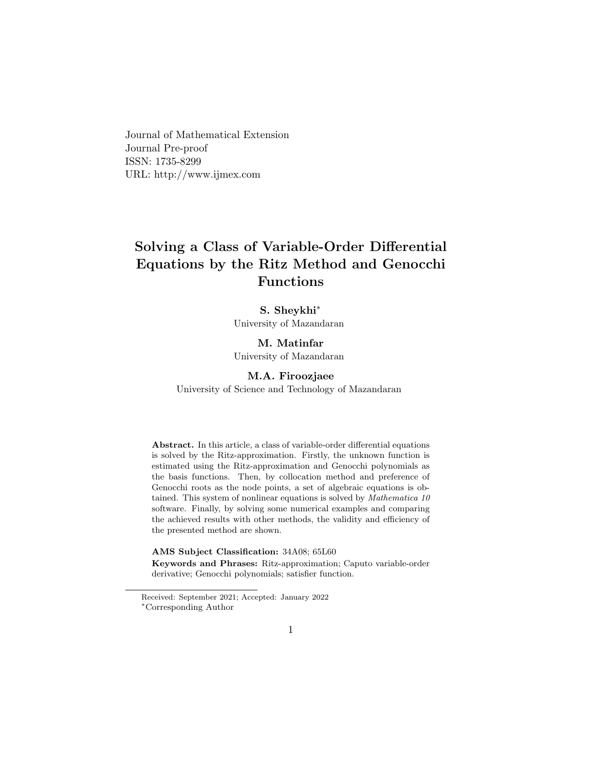Journal of Mathematical Extension Journal Pre-proof ISSN: 1735-8299 URL: http://www.ijmex.com

# **Solving a Class of Variable-Order Differential Equations by the Ritz Method and Genocchi Functions**

### **S. Sheykhi***∗*

University of Mazandaran

# **M. Matinfar**

University of Mazandaran

#### **M.A. Firoozjaee**

University of Science and Technology of Mazandaran

**Abstract.** In this article, a class of variable-order differential equations is solved by the Ritz-approximation. Firstly, the unknown function is estimated using the Ritz-approximation and Genocchi polynomials as the basis functions. Then, by collocation method and preference of Genocchi roots as the node points, a set of algebraic equations is obtained. This system of nonlinear equations is solved by *Mathematica 10* software. Finally, by solving some numerical examples and comparing the achieved results with other methods, the validity and efficiency of the presented method are shown.

**AMS Subject Classification:** 34A08; 65L60

**Keywords and Phrases:** Ritz-approximation; Caputo variable-order derivative; Genocchi polynomials; satisfier function.

Received: September 2021; Accepted: January 2022 *<sup>∗</sup>*Corresponding Author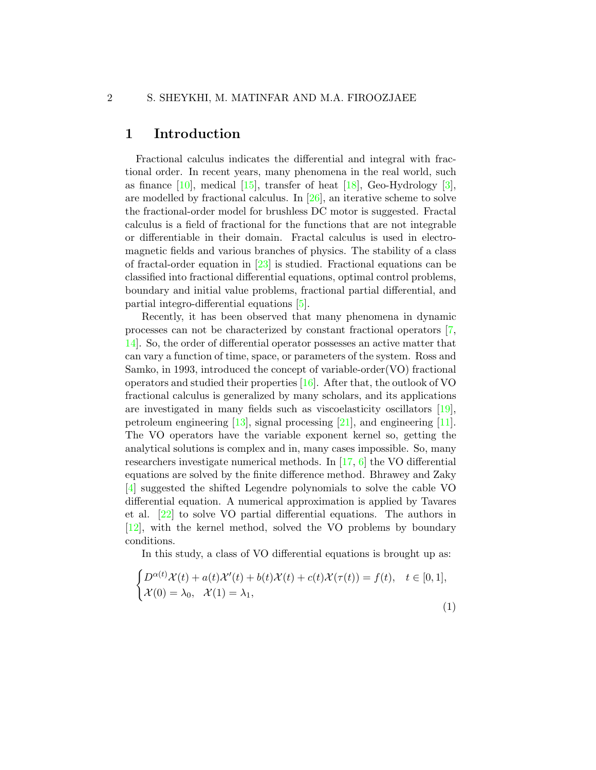### **1 Introduction**

Fractional calculus indicates the differential and integral with fractional order. In recent years, many phenomena in the real world, such asfinance  $[10]$ , medical  $[15]$ , transfer of heat  $[18]$  $[18]$ , Geo-Hydrology  $[3]$ , are modelled by fractional calculus. In[[26\]](#page-12-0), an iterative scheme to solve the fractional-order model for brushless DC motor is suggested. Fractal calculus is a field of fractional for the functions that are not integrable or differentiable in their domain. Fractal calculus is used in electromagnetic fields and various branches of physics. The stability of a class offractal-order equation in  $[23]$  $[23]$  is studied. Fractional equations can be classified into fractional differential equations, optimal control problems, boundary and initial value problems, fractional partial differential, and partial integro-differential equations[[5](#page-9-1)].

Recently, it has been observed that many phenomena in dynamic processes can not be characterized by constant fractional operators [\[7,](#page-10-2) [14\]](#page-10-3). So, the order of differential operator possesses an active matter that can vary a function of time, space, or parameters of the system. Ross and Samko, in 1993, introduced the concept of variable-order(VO) fractional operators and studied their properties[[16\]](#page-11-2). After that, the outlook of VO fractional calculus is generalized by many scholars, and its applications are investigated in many fields such as viscoelasticity oscillators[[19\]](#page-11-3), petroleum engineering [\[13](#page-10-4)], signal processing[[21\]](#page-11-4), and engineering[[11\]](#page-10-5). The VO operators have the variable exponent kernel so, getting the analytical solutions is complex and in, many cases impossible. So, many researchers investigate numerical methods. In [\[17](#page-11-5), [6\]](#page-9-2) the VO differential equations are solved by the finite difference method. Bhrawey and Zaky [[4](#page-9-3)] suggested the shifted Legendre polynomials to solve the cable VO differential equation. A numerical approximation is applied by Tavares et al. [\[22](#page-11-6)] to solve VO partial differential equations. The authors in [[12\]](#page-10-6), with the kernel method, solved the VO problems by boundary conditions.

In this study, a class of VO differential equations is brought up as:

<span id="page-1-0"></span>
$$
\begin{cases} D^{\alpha(t)}\mathcal{X}(t) + a(t)\mathcal{X}'(t) + b(t)\mathcal{X}(t) + c(t)\mathcal{X}(\tau(t)) = f(t), & t \in [0,1],\\ \mathcal{X}(0) = \lambda_0, & \mathcal{X}(1) = \lambda_1,\end{cases}
$$

(1)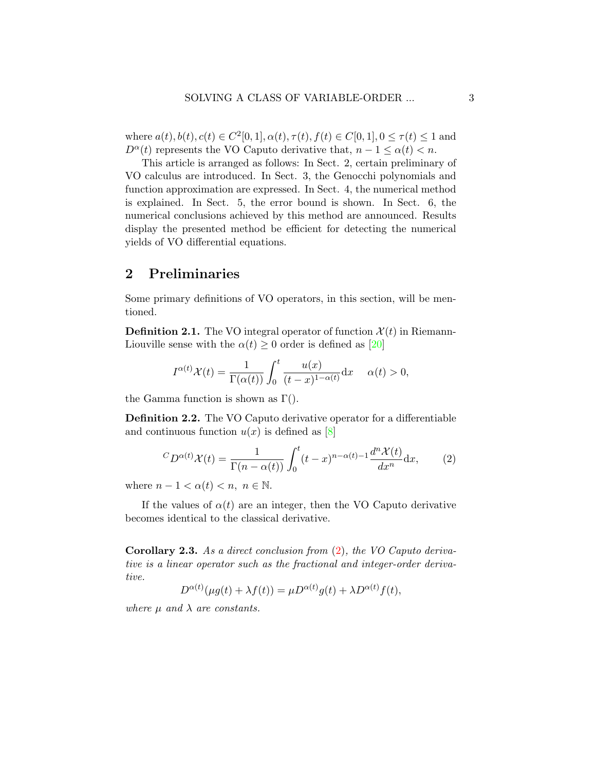where  $a(t), b(t), c(t) \in C^2[0, 1], \alpha(t), \tau(t), f(t) \in C[0, 1], 0 \le \tau(t) \le 1$  and *D*<sup>*α*</sup>(*t*) represents the VO Caputo derivative that,  $n - 1 \leq \alpha(t) < n$ .

This article is arranged as follows: In Sect. 2, certain preliminary of VO calculus are introduced. In Sect. 3, the Genocchi polynomials and function approximation are expressed. In Sect. 4, the numerical method is explained. In Sect. 5, the error bound is shown. In Sect. 6, the numerical conclusions achieved by this method are announced. Results display the presented method be efficient for detecting the numerical yields of VO differential equations.

### **2 Preliminaries**

Some primary definitions of VO operators, in this section, will be mentioned.

**Definition 2.1.** The VO integral operator of function  $\mathcal{X}(t)$  in RiemannLiouvillesense with the  $\alpha(t) \geq 0$  order is defined as [[20\]](#page-11-7)

$$
I^{\alpha(t)}\mathcal{X}(t) = \frac{1}{\Gamma(\alpha(t))} \int_0^t \frac{u(x)}{(t-x)^{1-\alpha(t)}} \mathrm{d}x \quad \alpha(t) > 0,
$$

the Gamma function is shown as  $\Gamma$ .

**Definition 2.2.** The VO Caputo derivative operator for a differentiable andcontinuous function  $u(x)$  is defined as [[8](#page-10-7)]

<span id="page-2-0"></span>
$$
{}^{C}D^{\alpha(t)}\mathcal{X}(t) = \frac{1}{\Gamma(n-\alpha(t))} \int_0^t (t-x)^{n-\alpha(t)-1} \frac{d^n \mathcal{X}(t)}{dx^n} dx, \qquad (2)
$$

where  $n-1 < \alpha(t) < n, n \in \mathbb{N}$ .

If the values of  $\alpha(t)$  are an integer, then the VO Caputo derivative becomes identical to the classical derivative.

**Corollary 2.3.** *As a direct conclusion from* ([2](#page-2-0))*, the VO Caputo derivative is a linear operator such as the fractional and integer-order derivative.*

 $D^{\alpha(t)}(\mu g(t) + \lambda f(t)) = \mu D^{\alpha(t)}g(t) + \lambda D^{\alpha(t)}f(t),$ 

*where*  $\mu$  *and*  $\lambda$  *are constants.*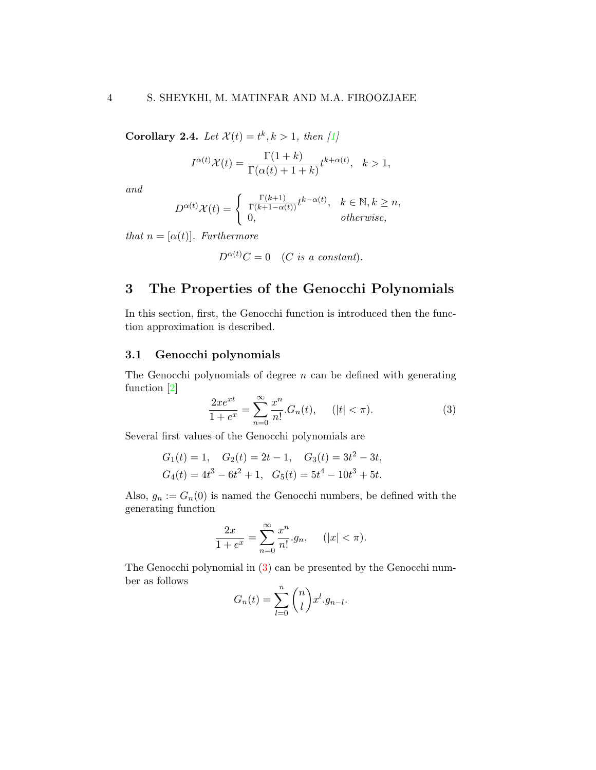**Corollary 2.4.** *Let*  $\mathcal{X}(t) = t^k, k > 1$ *, then* [\[1\]](#page-9-4)

$$
I^{\alpha(t)}\mathcal{X}(t) = \frac{\Gamma(1+k)}{\Gamma(\alpha(t)+1+k)}t^{k+\alpha(t)}, \quad k > 1,
$$

*and*

$$
D^{\alpha(t)}\mathcal{X}(t) = \begin{cases} \frac{\Gamma(k+1)}{\Gamma(k+1-\alpha(t))}t^{k-\alpha(t)}, & k \in \mathbb{N}, k \ge n, \\ 0, & otherwise, \end{cases}
$$

*that*  $n = [\alpha(t)]$ *. Furthermore* 

$$
D^{\alpha(t)}C = 0 \quad (C \text{ is a constant}).
$$

# **3 The Properties of the Genocchi Polynomials**

In this section, first, the Genocchi function is introduced then the function approximation is described.

#### **3.1 Genocchi polynomials**

The Genocchi polynomials of degree *n* can be defined with generating function [\[2\]](#page-9-5)

<span id="page-3-0"></span>
$$
\frac{2xe^{xt}}{1+e^x} = \sum_{n=0}^{\infty} \frac{x^n}{n!} \cdot G_n(t), \quad (|t| < \pi). \tag{3}
$$

Several first values of the Genocchi polynomials are

$$
G_1(t) = 1
$$
,  $G_2(t) = 2t - 1$ ,  $G_3(t) = 3t^2 - 3t$ ,  
\n $G_4(t) = 4t^3 - 6t^2 + 1$ ,  $G_5(t) = 5t^4 - 10t^3 + 5t$ .

Also,  $g_n := G_n(0)$  is named the Genocchi numbers, be defined with the generating function

$$
\frac{2x}{1+e^x} = \sum_{n=0}^{\infty} \frac{x^n}{n!} \cdot g_n, \quad (|x| < \pi).
$$

The Genocchi polynomial in([3](#page-3-0)) can be presented by the Genocchi number as follows

$$
G_n(t) = \sum_{l=0}^n \binom{n}{l} x^l g_{n-l}.
$$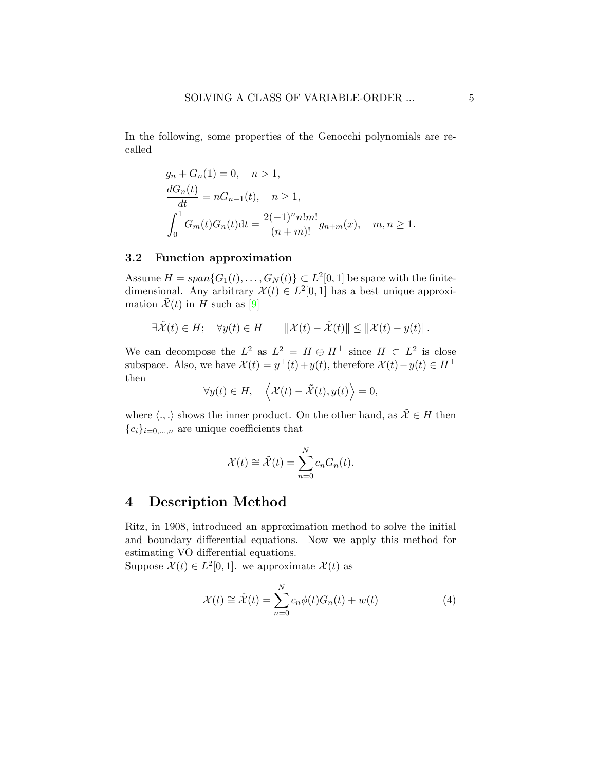In the following, some properties of the Genocchi polynomials are recalled

$$
g_n + G_n(1) = 0, \quad n > 1,
$$
  
\n
$$
\frac{dG_n(t)}{dt} = nG_{n-1}(t), \quad n \ge 1,
$$
  
\n
$$
\int_0^1 G_m(t)G_n(t)dt = \frac{2(-1)^n n! m!}{(n+m)!} g_{n+m}(x), \quad m, n \ge 1.
$$

#### **3.2 Function approximation**

Assume  $H = span{G_1(t), \ldots, G_N(t)} \subset L^2[0,1]$  be space with the finitedimensional. Any arbitrary  $\mathcal{X}(t) \in L^2[0,1]$  has a best unique approximation  $\tilde{\mathcal{X}}(t)$  in *H* such as [\[9\]](#page-10-8)

$$
\exists \tilde{\mathcal{X}}(t) \in H; \quad \forall y(t) \in H \qquad \|\mathcal{X}(t) - \tilde{\mathcal{X}}(t)\| \le \|\mathcal{X}(t) - y(t)\|.
$$

We can decompose the  $L^2$  as  $L^2 = H \oplus H^{\perp}$  since  $H \subset L^2$  is close subspace. Also, we have  $\mathcal{X}(t) = y^{\perp}(t) + y(t)$ , therefore  $\mathcal{X}(t) - y(t) \in H^{\perp}$ then

$$
\forall y(t) \in H, \quad \left\langle \mathcal{X}(t) - \tilde{\mathcal{X}}(t), y(t) \right\rangle = 0,
$$

where  $\langle .,.\rangle$  shows the inner product. On the other hand, as  $\tilde{\mathcal{X}}\in H$  then  ${c_i}_{i=0,\ldots,n}$  are unique coefficients that

$$
\mathcal{X}(t) \cong \tilde{\mathcal{X}}(t) = \sum_{n=0}^{N} c_n G_n(t).
$$

### **4 Description Method**

Ritz, in 1908, introduced an approximation method to solve the initial and boundary differential equations. Now we apply this method for estimating VO differential equations.

Suppose  $\mathcal{X}(t) \in L^2[0,1]$ . we approximate  $\mathcal{X}(t)$  as

<span id="page-4-0"></span>
$$
\mathcal{X}(t) \cong \tilde{\mathcal{X}}(t) = \sum_{n=0}^{N} c_n \phi(t) G_n(t) + w(t)
$$
\n(4)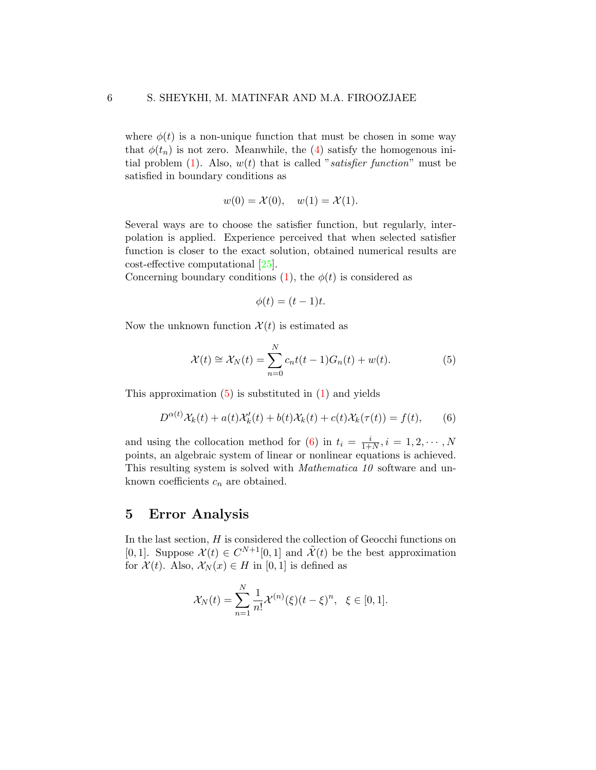where  $\phi(t)$  is a non-unique function that must be chosen in some way that $\phi(t_n)$  is not zero. Meanwhile, the ([4\)](#page-4-0) satisfy the homogenous initial problem([1](#page-1-0)). Also, *w*(*t*) that is called "*satisfier function*" must be satisfied in boundary conditions as

$$
w(0) = \mathcal{X}(0), \quad w(1) = \mathcal{X}(1).
$$

Several ways are to choose the satisfier function, but regularly, interpolation is applied. Experience perceived that when selected satisfier function is closer to the exact solution, obtained numerical results are cost-effective computational [\[25](#page-12-1)].

Concerningboundary conditions  $(1)$  $(1)$  $(1)$ , the  $\phi(t)$  is considered as

$$
\phi(t) = (t-1)t.
$$

Now the unknown function  $\mathcal{X}(t)$  is estimated as

<span id="page-5-0"></span>
$$
\mathcal{X}(t) \cong \mathcal{X}_N(t) = \sum_{n=0}^N c_n t(t-1) G_n(t) + w(t).
$$
 (5)

Thisapproximation  $(5)$  $(5)$  $(5)$  is substituted in  $(1)$  $(1)$  $(1)$  and yields

<span id="page-5-1"></span>
$$
D^{\alpha(t)}\mathcal{X}_k(t) + a(t)\mathcal{X}'_k(t) + b(t)\mathcal{X}_k(t) + c(t)\mathcal{X}_k(\tau(t)) = f(t), \qquad (6)
$$

andusing the collocation method for ([6](#page-5-1)) in  $t_i = \frac{i}{1+i}$  $\frac{i}{1+N}, i = 1, 2, \cdots, N$ points, an algebraic system of linear or nonlinear equations is achieved. This resulting system is solved with *Mathematica 10* software and unknown coefficients *c<sup>n</sup>* are obtained.

### **5 Error Analysis**

In the last section, *H* is considered the collection of Geocchi functions on [0, 1]. Suppose  $\mathcal{X}(t) \in C^{N+1}[0,1]$  and  $\tilde{\mathcal{X}}(t)$  be the best approximation for  $\mathcal{X}(t)$ . Also,  $\mathcal{X}_N(x) \in H$  in [0, 1] is defined as

$$
\mathcal{X}_N(t) = \sum_{n=1}^N \frac{1}{n!} \mathcal{X}^{(n)}(\xi)(t-\xi)^n, \ \ \xi \in [0,1].
$$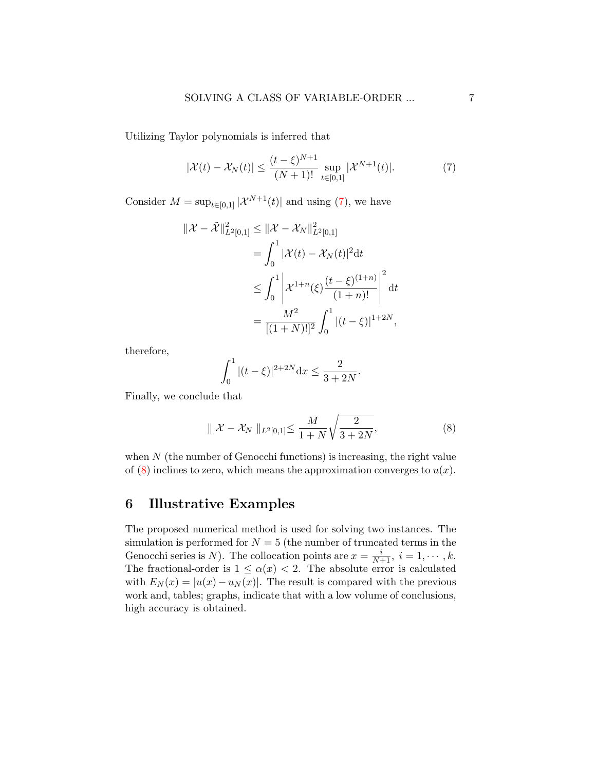Utilizing Taylor polynomials is inferred that

<span id="page-6-0"></span>
$$
|\mathcal{X}(t) - \mathcal{X}_N(t)| \le \frac{(t - \xi)^{N+1}}{(N+1)!} \sup_{t \in [0,1]} |\mathcal{X}^{N+1}(t)|. \tag{7}
$$

Consider  $M = \sup_{t \in [0,1]} |\mathcal{X}^{N+1}(t)|$  and using [\(7\)](#page-6-0), we have

$$
\begin{aligned} \|\mathcal{X} - \tilde{\mathcal{X}}\|_{L^2[0,1]}^2 &\leq \|\mathcal{X} - \mathcal{X}_N\|_{L^2[0,1]}^2 \\ &= \int_0^1 |\mathcal{X}(t) - \mathcal{X}_N(t)|^2 dt \\ &\leq \int_0^1 \left|\mathcal{X}^{1+n}(\xi) \frac{(t-\xi)^{(1+n)}}{(1+n)!}\right|^2 dt \\ &= \frac{M^2}{[(1+N)!]^2} \int_0^1 |(t-\xi)|^{1+2N}, \end{aligned}
$$

therefore,

$$
\int_0^1 |(t-\xi)|^{2+2N} \mathrm{d}x \le \frac{2}{3+2N}.
$$

Finally, we conclude that

<span id="page-6-1"></span>
$$
\| \mathcal{X} - \mathcal{X}_N \|_{L^2[0,1]} \le \frac{M}{1+N} \sqrt{\frac{2}{3+2N}},
$$
 (8)

when  $N$  (the number of Genocchi functions) is increasing, the right value of  $(8)$  inclines to zero, which means the approximation converges to  $u(x)$ .

# **6 Illustrative Examples**

The proposed numerical method is used for solving two instances. The simulation is performed for  $N = 5$  (the number of truncated terms in the Genocchi series is *N*). The collocation points are  $x = \frac{i}{N+1}$ ,  $i = 1, \dots, k$ . The fractional-order is  $1 \leq \alpha(x) < 2$ . The absolute error is calculated with  $E_N(x) = |u(x) - u_N(x)|$ . The result is compared with the previous work and, tables; graphs, indicate that with a low volume of conclusions, high accuracy is obtained.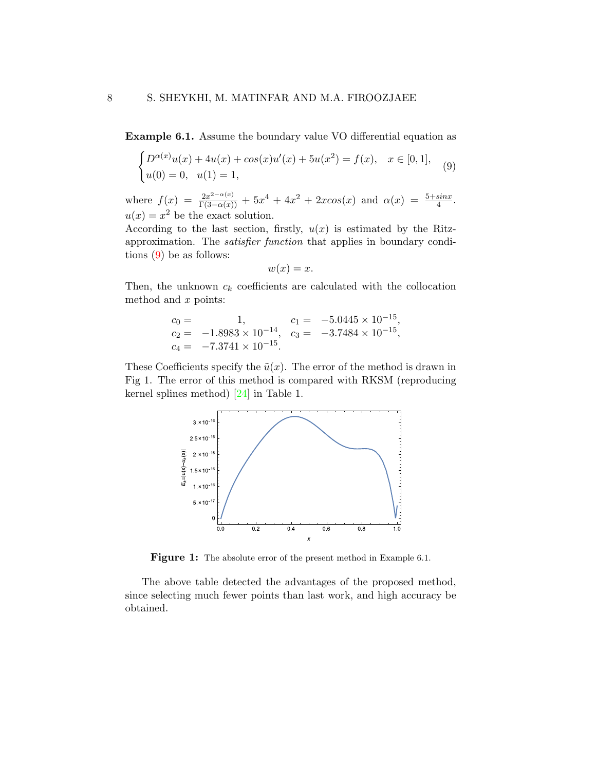**Example 6.1.** Assume the boundary value VO differential equation as

<span id="page-7-0"></span>
$$
\begin{cases} D^{\alpha(x)}u(x) + 4u(x) + \cos(x)u'(x) + 5u(x^2) = f(x), & x \in [0,1], \\ u(0) = 0, & u(1) = 1, \end{cases}
$$
(9)

where  $f(x) = \frac{2x^{2-\alpha(x)}}{\Gamma(3-\alpha(x))} + 5x^4 + 4x^2 + 2xcos(x)$  and  $\alpha(x) = \frac{5+sinx}{4}$ .  $u(x) = x^2$  be the exact solution.

According to the last section, firstly,  $u(x)$  is estimated by the Ritzapproximation. The *satisfier function* that applies in boundary conditions([9](#page-7-0)) be as follows:

$$
w(x) = x.
$$

Then, the unknown  $c_k$  coefficients are calculated with the collocation method and *x* points:

$$
c_0 = 1, \t c_1 = -5.0445 \times 10^{-15},
$$
  
\n
$$
c_2 = -1.8983 \times 10^{-14}, \t c_3 = -3.7484 \times 10^{-15},
$$
  
\n
$$
c_4 = -7.3741 \times 10^{-15}.
$$

These Coefficients specify the  $\tilde{u}(x)$ . The error of the method is drawn in Fig 1. The error of this method is compared with RKSM (reproducing kernel splines method)[[24](#page-11-8)] in Table 1.



Figure 1: The absolute error of the present method in Example 6.1.

The above table detected the advantages of the proposed method, since selecting much fewer points than last work, and high accuracy be obtained.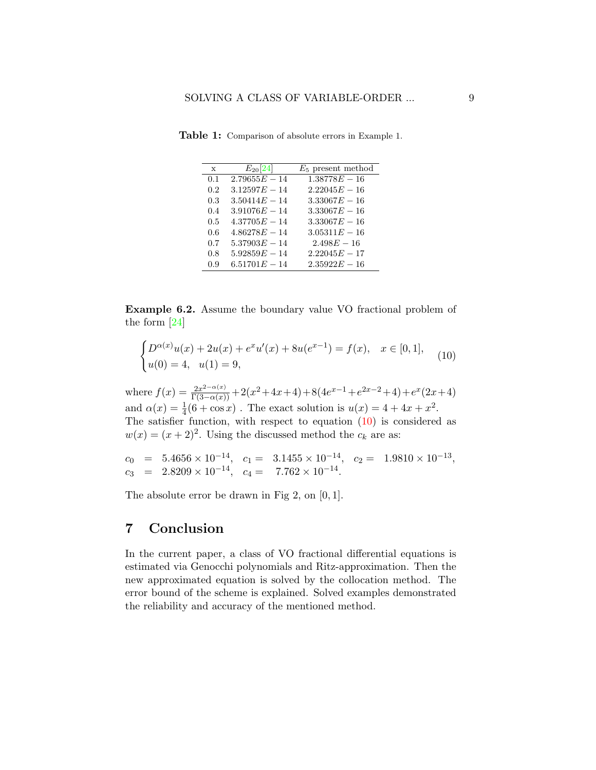| $\mathbf{x}$ | $E_{20}[24]$    | $E_5$ present method |
|--------------|-----------------|----------------------|
| 0.1          | $2.79655E - 14$ | $1.38778E - 16$      |
| 0.2          | $3.12597E - 14$ | $2.22045E - 16$      |
| 0.3          | $3.50414E - 14$ | $3.33067E - 16$      |
| 0.4          | $3.91076E - 14$ | $3.33067E - 16$      |
| 0.5          | $4.37705E - 14$ | $3.33067E - 16$      |
| 0.6          | $4.86278E - 14$ | $3.05311E - 16$      |
| 0.7          | $5.37903E - 14$ | $2.498E - 16$        |
| 0.8          | $5.92859E - 14$ | $2.22045E - 17$      |
| 0.9          | $6.51701E - 14$ | $2.35922E - 16$      |

**Table 1:** Comparison of absolute errors in Example 1.

**Example 6.2.** Assume the boundary value VO fractional problem of the form [\[24](#page-11-8)]

<span id="page-8-0"></span>
$$
\begin{cases} D^{\alpha(x)}u(x) + 2u(x) + e^x u'(x) + 8u(e^{x-1}) = f(x), & x \in [0,1], \\ u(0) = 4, & u(1) = 9, \end{cases}
$$
(10)

where  $f(x) = \frac{2x^{2-\alpha(x)}}{\Gamma(3-\alpha(x))} + 2(x^2+4x+4) + 8(4e^{x-1}+e^{2x-2}+4) + e^x(2x+4)$ and  $\alpha(x) = \frac{1}{4}(6 + \cos x)$ . The exact solution is  $u(x) = 4 + 4x + x^2$ . Thesatisfier function, with respect to equation  $(10)$  $(10)$  is considered as  $w(x) = (x+2)^2$ . Using the discussed method the  $c_k$  are as:

 $c_0$  =  $5.4656 \times 10^{-14}$ ,  $c_1$  =  $3.1455 \times 10^{-14}$ ,  $c_2$  =  $1.9810 \times 10^{-13}$ ,  $c_3$  =  $2.8209 \times 10^{-14}$ ,  $c_4$  =  $7.762 \times 10^{-14}$ .

The absolute error be drawn in Fig 2, on [0*,* 1].

### **7 Conclusion**

In the current paper, a class of VO fractional differential equations is estimated via Genocchi polynomials and Ritz-approximation. Then the new approximated equation is solved by the collocation method. The error bound of the scheme is explained. Solved examples demonstrated the reliability and accuracy of the mentioned method.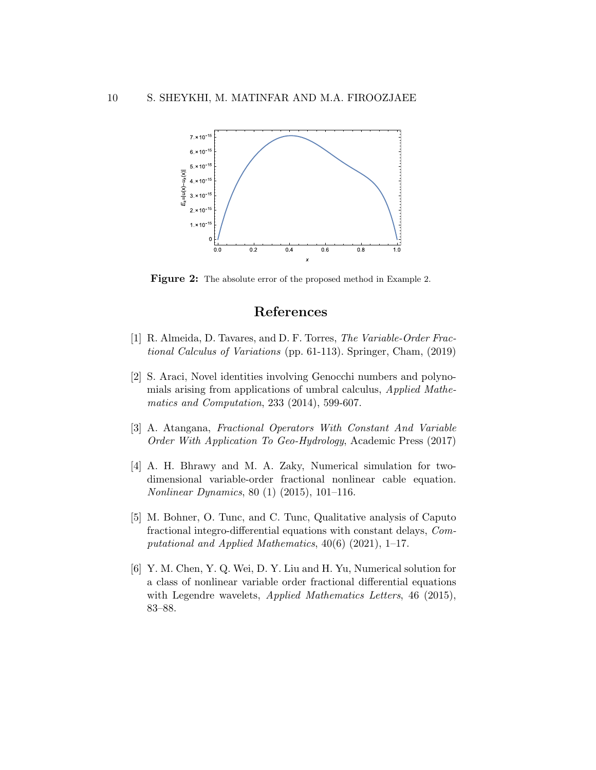

**Figure 2:** The absolute error of the proposed method in Example 2.

### **References**

- <span id="page-9-4"></span>[1] R. Almeida, D. Tavares, and D. F. Torres, *The Variable-Order Fractional Calculus of Variations* (pp. 61-113). Springer, Cham, (2019)
- <span id="page-9-5"></span>[2] S. Araci, Novel identities involving Genocchi numbers and polynomials arising from applications of umbral calculus, *Applied Mathematics and Computation*, 233 (2014), 599-607.
- <span id="page-9-0"></span>[3] A. Atangana, *Fractional Operators With Constant And Variable Order With Application To Geo-Hydrology*, Academic Press (2017)
- <span id="page-9-3"></span>[4] A. H. Bhrawy and M. A. Zaky, Numerical simulation for twodimensional variable-order fractional nonlinear cable equation. *Nonlinear Dynamics*, 80 (1) (2015), 101–116.
- <span id="page-9-1"></span>[5] M. Bohner, O. Tunc, and C. Tunc, Qualitative analysis of Caputo fractional integro-differential equations with constant delays, *Computational and Applied Mathematics*, 40(6) (2021), 1–17.
- <span id="page-9-2"></span>[6] Y. M. Chen, Y. Q. Wei, D. Y. Liu and H. Yu, Numerical solution for a class of nonlinear variable order fractional differential equations with Legendre wavelets, *Applied Mathematics Letters*, 46 (2015), 83–88.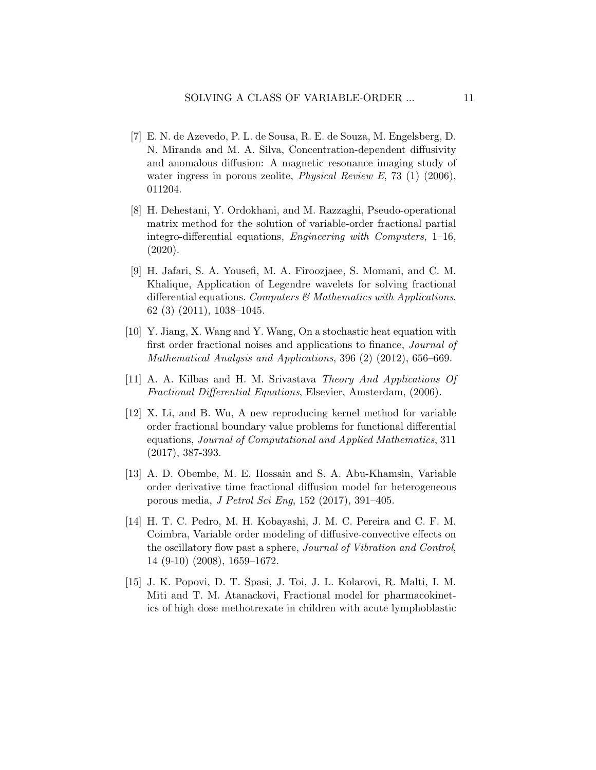- <span id="page-10-2"></span>[7] E. N. de Azevedo, P. L. de Sousa, R. E. de Souza, M. Engelsberg, D. N. Miranda and M. A. Silva, Concentration-dependent diffusivity and anomalous diffusion: A magnetic resonance imaging study of water ingress in porous zeolite, *Physical Review E*, 73 (1) (2006), 011204.
- <span id="page-10-7"></span>[8] H. Dehestani, Y. Ordokhani, and M. Razzaghi, Pseudo-operational matrix method for the solution of variable-order fractional partial integro-differential equations, *Engineering with Computers*, 1–16, (2020).
- <span id="page-10-8"></span>[9] H. Jafari, S. A. Yousefi, M. A. Firoozjaee, S. Momani, and C. M. Khalique, Application of Legendre wavelets for solving fractional differential equations. *Computers & Mathematics with Applications*, 62 (3) (2011), 1038–1045.
- <span id="page-10-0"></span>[10] Y. Jiang, X. Wang and Y. Wang, On a stochastic heat equation with first order fractional noises and applications to finance, *Journal of Mathematical Analysis and Applications*, 396 (2) (2012), 656–669.
- <span id="page-10-5"></span>[11] A. A. Kilbas and H. M. Srivastava *Theory And Applications Of Fractional Differential Equations*, Elsevier, Amsterdam, (2006).
- <span id="page-10-6"></span>[12] X. Li, and B. Wu, A new reproducing kernel method for variable order fractional boundary value problems for functional differential equations, *Journal of Computational and Applied Mathematics*, 311 (2017), 387-393.
- <span id="page-10-4"></span>[13] A. D. Obembe, M. E. Hossain and S. A. Abu-Khamsin, Variable order derivative time fractional diffusion model for heterogeneous porous media, *J Petrol Sci Eng*, 152 (2017), 391–405.
- <span id="page-10-3"></span>[14] H. T. C. Pedro, M. H. Kobayashi, J. M. C. Pereira and C. F. M. Coimbra, Variable order modeling of diffusive-convective effects on the oscillatory flow past a sphere, *Journal of Vibration and Control*, 14 (9-10) (2008), 1659–1672.
- <span id="page-10-1"></span>[15] J. K. Popovi, D. T. Spasi, J. Toi, J. L. Kolarovi, R. Malti, I. M. Miti and T. M. Atanackovi, Fractional model for pharmacokinetics of high dose methotrexate in children with acute lymphoblastic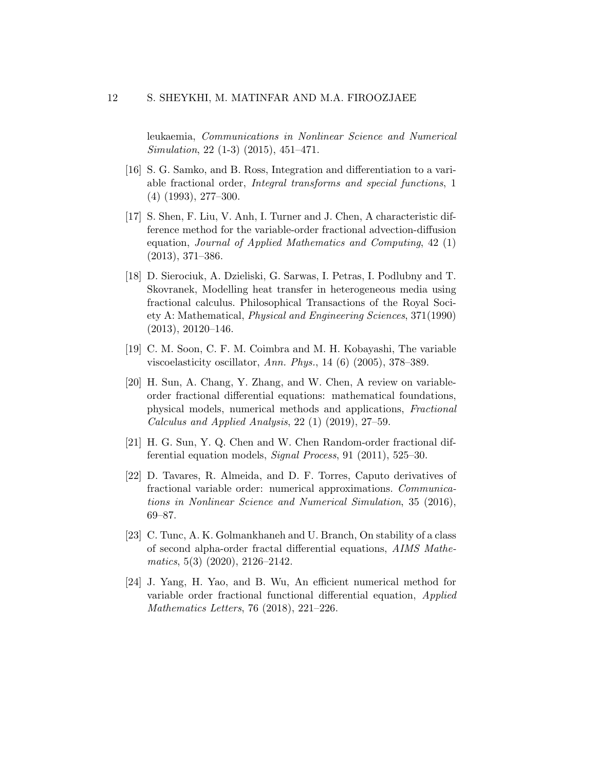leukaemia, *Communications in Nonlinear Science and Numerical Simulation*, 22 (1-3) (2015), 451–471.

- <span id="page-11-2"></span>[16] S. G. Samko, and B. Ross, Integration and differentiation to a variable fractional order, *Integral transforms and special functions*, 1 (4) (1993), 277–300.
- <span id="page-11-5"></span>[17] S. Shen, F. Liu, V. Anh, I. Turner and J. Chen, A characteristic difference method for the variable-order fractional advection-diffusion equation, *Journal of Applied Mathematics and Computing*, 42 (1) (2013), 371–386.
- <span id="page-11-0"></span>[18] D. Sierociuk, A. Dzieliski, G. Sarwas, I. Petras, I. Podlubny and T. Skovranek, Modelling heat transfer in heterogeneous media using fractional calculus. Philosophical Transactions of the Royal Society A: Mathematical, *Physical and Engineering Sciences*, 371(1990)  $(2013), 20120-146.$
- <span id="page-11-3"></span>[19] C. M. Soon, C. F. M. Coimbra and M. H. Kobayashi, The variable viscoelasticity oscillator, *Ann. Phys.*, 14 (6) (2005), 378–389.
- <span id="page-11-7"></span>[20] H. Sun, A. Chang, Y. Zhang, and W. Chen, A review on variableorder fractional differential equations: mathematical foundations, physical models, numerical methods and applications, *Fractional Calculus and Applied Analysis*, 22 (1) (2019), 27–59.
- <span id="page-11-4"></span>[21] H. G. Sun, Y. Q. Chen and W. Chen Random-order fractional differential equation models, *Signal Process*, 91 (2011), 525–30.
- <span id="page-11-6"></span>[22] D. Tavares, R. Almeida, and D. F. Torres, Caputo derivatives of fractional variable order: numerical approximations. *Communications in Nonlinear Science and Numerical Simulation*, 35 (2016), 69–87.
- <span id="page-11-1"></span>[23] C. Tunc, A. K. Golmankhaneh and U. Branch, On stability of a class of second alpha-order fractal differential equations, *AIMS Mathematics*, 5(3) (2020), 2126–2142.
- <span id="page-11-8"></span>[24] J. Yang, H. Yao, and B. Wu, An efficient numerical method for variable order fractional functional differential equation, *Applied Mathematics Letters*, 76 (2018), 221–226.